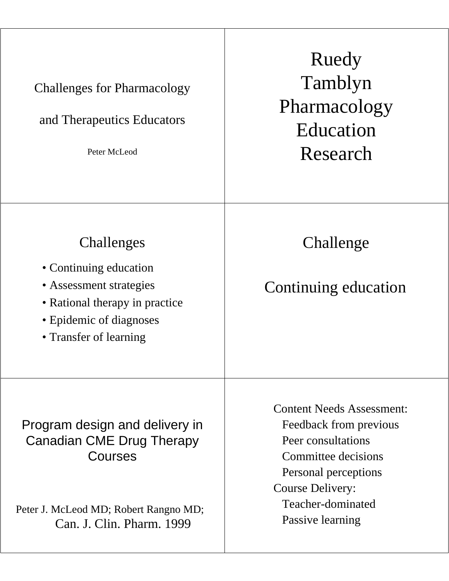| <b>Challenges for Pharmacology</b><br>and Therapeutics Educators<br>Peter McLeod                                                                       | Ruedy<br>Tamblyn<br>Pharmacology<br>Education<br>Research                                                                                                                                           |
|--------------------------------------------------------------------------------------------------------------------------------------------------------|-----------------------------------------------------------------------------------------------------------------------------------------------------------------------------------------------------|
| Challenges<br>• Continuing education<br>• Assessment strategies<br>• Rational therapy in practice<br>• Epidemic of diagnoses<br>• Transfer of learning | Challenge<br>Continuing education                                                                                                                                                                   |
| Program design and delivery in<br>Canadian CME Drug Therapy<br>Courses<br>Peter J. McLeod MD; Robert Rangno MD;<br>Can. J. Clin. Pharm. 1999           | <b>Content Needs Assessment:</b><br>Feedback from previous<br>Peer consultations<br>Committee decisions<br>Personal perceptions<br><b>Course Delivery:</b><br>Teacher-dominated<br>Passive learning |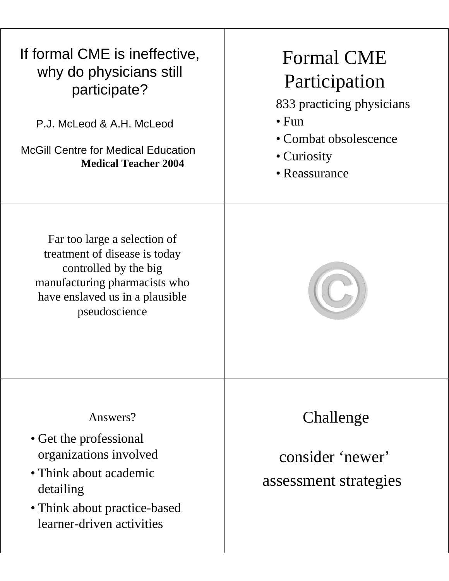| If formal CME is ineffective,<br>why do physicians still<br>participate?<br>P.J. McLeod & A.H. McLeod<br><b>McGill Centre for Medical Education</b><br><b>Medical Teacher 2004</b> | <b>Formal CME</b><br>Participation<br>833 practicing physicians<br>$\bullet$ Fun<br>• Combat obsolescence<br>• Curiosity<br>• Reassurance |
|------------------------------------------------------------------------------------------------------------------------------------------------------------------------------------|-------------------------------------------------------------------------------------------------------------------------------------------|
| Far too large a selection of<br>treatment of disease is today<br>controlled by the big<br>manufacturing pharmacists who<br>have enslaved us in a plausible<br>pseudoscience        |                                                                                                                                           |
| Answers?<br>• Get the professional<br>organizations involved<br>• Think about academic<br>detailing<br>• Think about practice-based<br>learner-driven activities                   | Challenge<br>consider 'newer'<br>assessment strategies                                                                                    |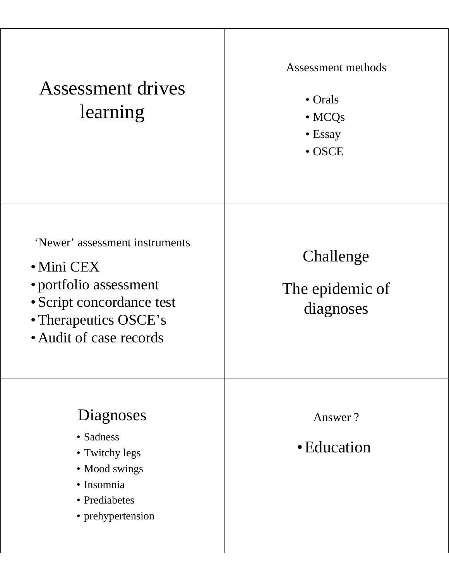| <b>Assessment drives</b><br>learning                                                                                                                            | Assessment methods<br>$\bullet$ Orals<br>$\bullet$ MCQs<br>• Essay<br>$\bullet$ OSCE |
|-----------------------------------------------------------------------------------------------------------------------------------------------------------------|--------------------------------------------------------------------------------------|
| 'Newer' assessment instruments<br>$\bullet$ Mini CEX<br>• portfolio assessment<br>• Script concordance test<br>• Therapeutics OSCE's<br>• Audit of case records | Challenge<br>The epidemic of<br>diagnoses                                            |
| Diagnoses<br>• Sadness<br>• Twitchy legs<br>• Mood swings<br>· Insomnia<br>• Prediabetes<br>• prehypertension                                                   | Answer?<br>• Education                                                               |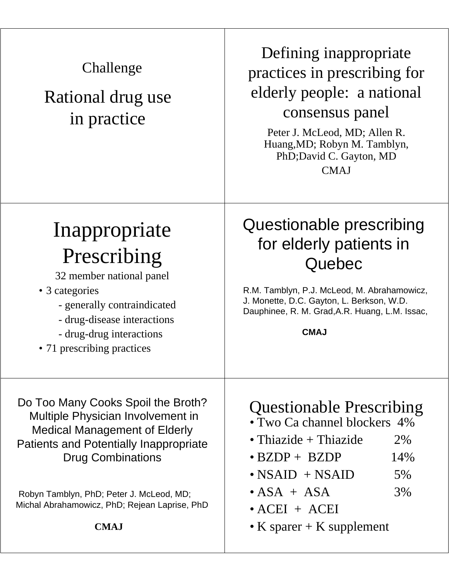| Challenge<br>Rational drug use<br>in practice                                                                                                                                                                                                                                                            | Defining inappropriate<br>practices in prescribing for<br>elderly people: a national<br>consensus panel<br>Peter J. McLeod, MD; Allen R.<br>Huang, MD; Robyn M. Tamblyn,<br>PhD; David C. Gayton, MD<br><b>CMAJ</b>                                  |
|----------------------------------------------------------------------------------------------------------------------------------------------------------------------------------------------------------------------------------------------------------------------------------------------------------|------------------------------------------------------------------------------------------------------------------------------------------------------------------------------------------------------------------------------------------------------|
| Inappropriate<br>Prescribing<br>32 member national panel<br>• 3 categories<br>- generally contraindicated<br>- drug-disease interactions<br>- drug-drug interactions<br>• 71 prescribing practices                                                                                                       | Questionable prescribing<br>for elderly patients in<br>Quebec<br>R.M. Tamblyn, P.J. McLeod, M. Abrahamowicz,<br>J. Monette, D.C. Gayton, L. Berkson, W.D.<br>Dauphinee, R. M. Grad, A.R. Huang, L.M. Issac,<br><b>CMAJ</b>                           |
| Do Too Many Cooks Spoil the Broth?<br>Multiple Physician Involvement in<br><b>Medical Management of Elderly</b><br><b>Patients and Potentially Inappropriate</b><br><b>Drug Combinations</b><br>Robyn Tamblyn, PhD; Peter J. McLeod, MD;<br>Michal Abrahamowicz, PhD; Rejean Laprise, PhD<br><b>CMAJ</b> | <b>Questionable Prescribing</b><br>• Two Ca channel blockers 4%<br>• Thiazide + Thiazide<br>2%<br>14%<br>$\bullet$ BZDP + BZDP<br>$\bullet$ NSAID + NSAID<br>5%<br>3%<br>$\bullet$ ASA + ASA<br>$\bullet$ ACEI + ACEI<br>• K sparer $+$ K supplement |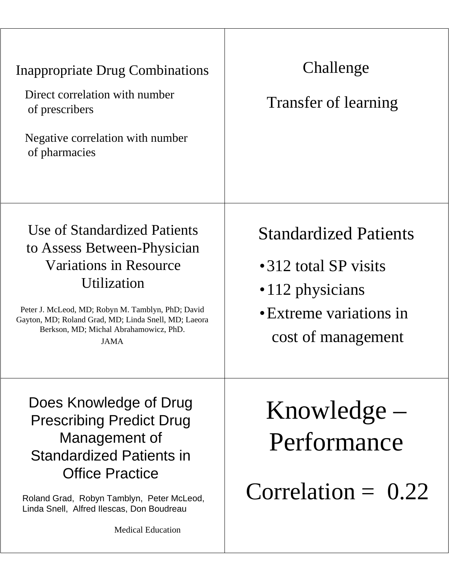| Inappropriate Drug Combinations<br>Direct correlation with number<br>of prescribers<br>Negative correlation with number<br>of pharmacies                                                                                                                            | Challenge<br>Transfer of learning                                                                                        |
|---------------------------------------------------------------------------------------------------------------------------------------------------------------------------------------------------------------------------------------------------------------------|--------------------------------------------------------------------------------------------------------------------------|
| Use of Standardized Patients<br>to Assess Between-Physician<br>Variations in Resource<br>Utilization<br>Peter J. McLeod, MD; Robyn M. Tamblyn, PhD; David<br>Gayton, MD; Roland Grad, MD; Linda Snell, MD; Laeora<br>Berkson, MD; Michal Abrahamowicz, PhD.<br>JAMA | <b>Standardized Patients</b><br>•312 total SP visits<br>•112 physicians<br>• Extreme variations in<br>cost of management |
| Does Knowledge of Drug<br><b>Prescribing Predict Drug</b><br>Management of<br><b>Standardized Patients in</b><br><b>Office Practice</b><br>Roland Grad, Robyn Tamblyn, Peter McLeod,<br>Linda Snell, Alfred Ilescas, Don Boudreau<br><b>Medical Education</b>       | $Knowledge -$<br>Performance<br>Correlation $= 0.22$                                                                     |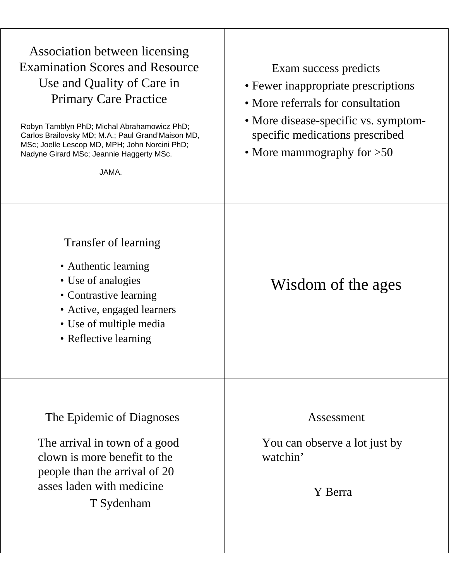| Association between licensing<br><b>Examination Scores and Resource</b><br>Use and Quality of Care in<br><b>Primary Care Practice</b><br>Robyn Tamblyn PhD; Michal Abrahamowicz PhD;<br>Carlos Brailovsky MD; M.A.; Paul Grand'Maison MD,<br>MSc; Joelle Lescop MD, MPH; John Norcini PhD;<br>Nadyne Girard MSc; Jeannie Haggerty MSc.<br>JAMA. | Exam success predicts<br>• Fewer inappropriate prescriptions<br>• More referrals for consultation<br>• More disease-specific vs. symptom-<br>specific medications prescribed<br>• More mammography for $>50$ |
|-------------------------------------------------------------------------------------------------------------------------------------------------------------------------------------------------------------------------------------------------------------------------------------------------------------------------------------------------|--------------------------------------------------------------------------------------------------------------------------------------------------------------------------------------------------------------|
| Transfer of learning<br>• Authentic learning<br>• Use of analogies<br>• Contrastive learning<br>• Active, engaged learners<br>• Use of multiple media<br>• Reflective learning                                                                                                                                                                  | Wisdom of the ages                                                                                                                                                                                           |
| The Epidemic of Diagnoses<br>The arrival in town of a good<br>clown is more benefit to the<br>people than the arrival of 20<br>asses laden with medicine<br>T Sydenham                                                                                                                                                                          | Assessment<br>You can observe a lot just by<br>watchin'<br>Y Berra                                                                                                                                           |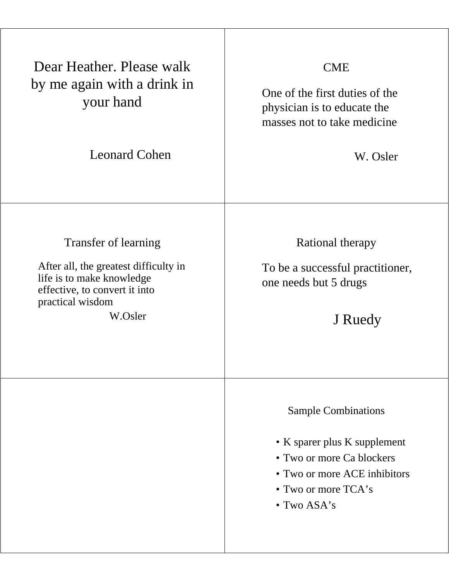| Dear Heather, Please walk<br>by me again with a drink in<br>your hand<br><b>Leonard Cohen</b>                                                              | <b>CME</b><br>One of the first duties of the<br>physician is to educate the<br>masses not to take medicine<br>W. Osler                                          |
|------------------------------------------------------------------------------------------------------------------------------------------------------------|-----------------------------------------------------------------------------------------------------------------------------------------------------------------|
| Transfer of learning<br>After all, the greatest difficulty in<br>life is to make knowledge<br>effective, to convert it into<br>practical wisdom<br>W.Osler | Rational therapy<br>To be a successful practitioner,<br>one needs but 5 drugs<br>J Ruedy                                                                        |
|                                                                                                                                                            | <b>Sample Combinations</b><br>• K sparer plus K supplement<br>• Two or more Ca blockers<br>• Two or more ACE inhibitors<br>• Two or more $TCA's$<br>• Two ASA's |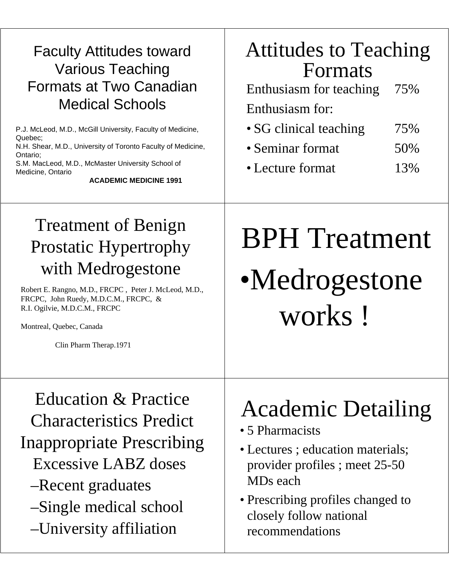#### Faculty Attitudes toward Various Teaching Formats at Two Canadian Medical Schools

P.J. McLeod, M.D., McGill University, Faculty of Medicine, Quebec; N.H. Shear, M.D., University of Toronto Faculty of Medicine, Ontario; S.M. MacLeod, M.D., McMaster University School of Medicine, Ontario

**ACADEMIC MEDICINE 1991**

### Attitudes to Teaching Formats

Enthusiasm for teaching 75% Enthusiasm for:

- SG clinical teaching 75%
- Seminar format 50%
- Lecture format 13%

#### Treatment of Benign Prostatic Hypertrophy with Medrogestone

Robert E. Rangno, M.D., FRCPC , Peter J. McLeod, M.D., FRCPC, John Ruedy, M.D.C.M., FRCPC, & R.I. Ogilvie, M.D.C.M., FRCPC

Montreal, Quebec, Canada

Clin Pharm Therap.1971

# BPH Treatment •Medrogestone works !

Education & Practice Characteristics Predict Inappropriate Prescribing Excessive LABZ doses –Recent graduates –Single medical school –University affiliation

### Academic Detailing

- 5 Pharmacists
- Lectures ; education materials; provider profiles ; meet 25-50 MDs each
- Prescribing profiles changed to closely follow national recommendations